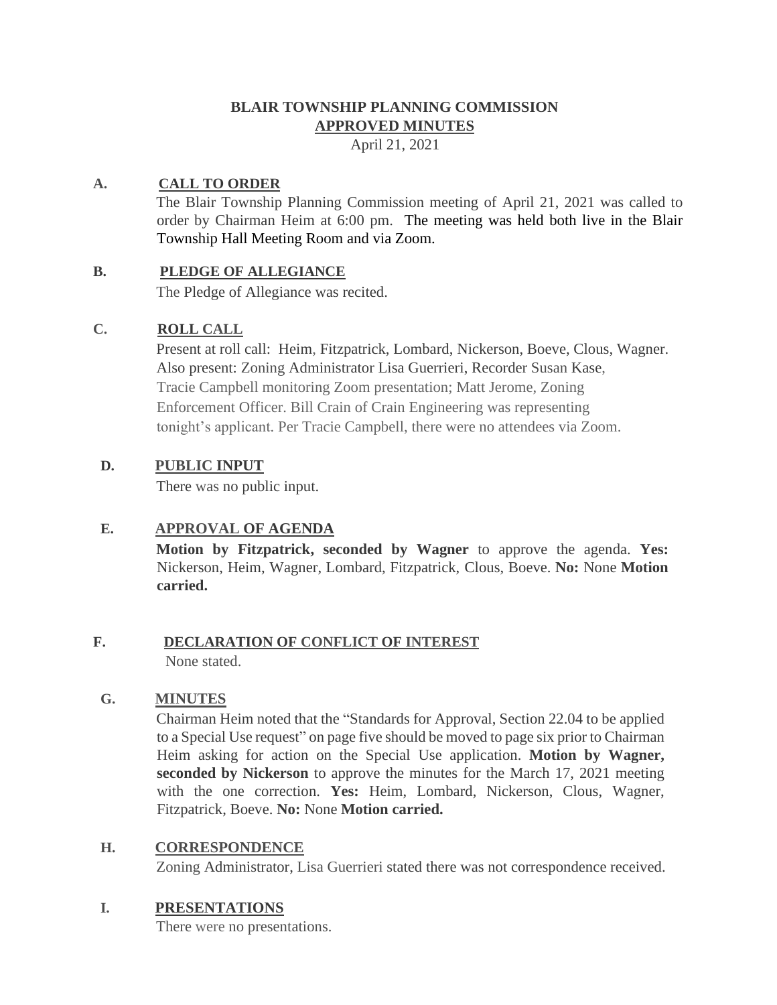# **BLAIR TOWNSHIP PLANNING COMMISSION APPROVED MINUTES**

April 21, 2021

## **A. CALL TO ORDER**

The Blair Township Planning Commission meeting of April 21, 2021 was called to order by Chairman Heim at 6:00 pm. The meeting was held both live in the Blair Township Hall Meeting Room and via Zoom.

## **B. PLEDGE OF ALLEGIANCE**

The Pledge of Allegiance was recited.

## **C. ROLL CALL**

Present at roll call: Heim, Fitzpatrick, Lombard, Nickerson, Boeve, Clous, Wagner. Also present: Zoning Administrator Lisa Guerrieri, Recorder Susan Kase, Tracie Campbell monitoring Zoom presentation; Matt Jerome, Zoning Enforcement Officer. Bill Crain of Crain Engineering was representing tonight's applicant. Per Tracie Campbell, there were no attendees via Zoom.

## **D. PUBLIC INPUT**

There was no public input.

# **E. APPROVAL OF AGENDA**

**Motion by Fitzpatrick, seconded by Wagner** to approve the agenda. **Yes:**  Nickerson, Heim, Wagner, Lombard, Fitzpatrick, Clous, Boeve. **No:** None **Motion carried.**

#### **F. DECLARATION OF CONFLICT OF INTEREST** None stated.

## **G. MINUTES**

Chairman Heim noted that the "Standards for Approval, Section 22.04 to be applied to a Special Use request" on page five should be moved to page six prior to Chairman Heim asking for action on the Special Use application. **Motion by Wagner, seconded by Nickerson** to approve the minutes for the March 17, 2021 meeting with the one correction. **Yes:** Heim, Lombard, Nickerson, Clous, Wagner, Fitzpatrick, Boeve. **No:** None **Motion carried.**

## **H. CORRESPONDENCE**

Zoning Administrator, Lisa Guerrieri stated there was not correspondence received.

## **I. PRESENTATIONS**

There were no presentations.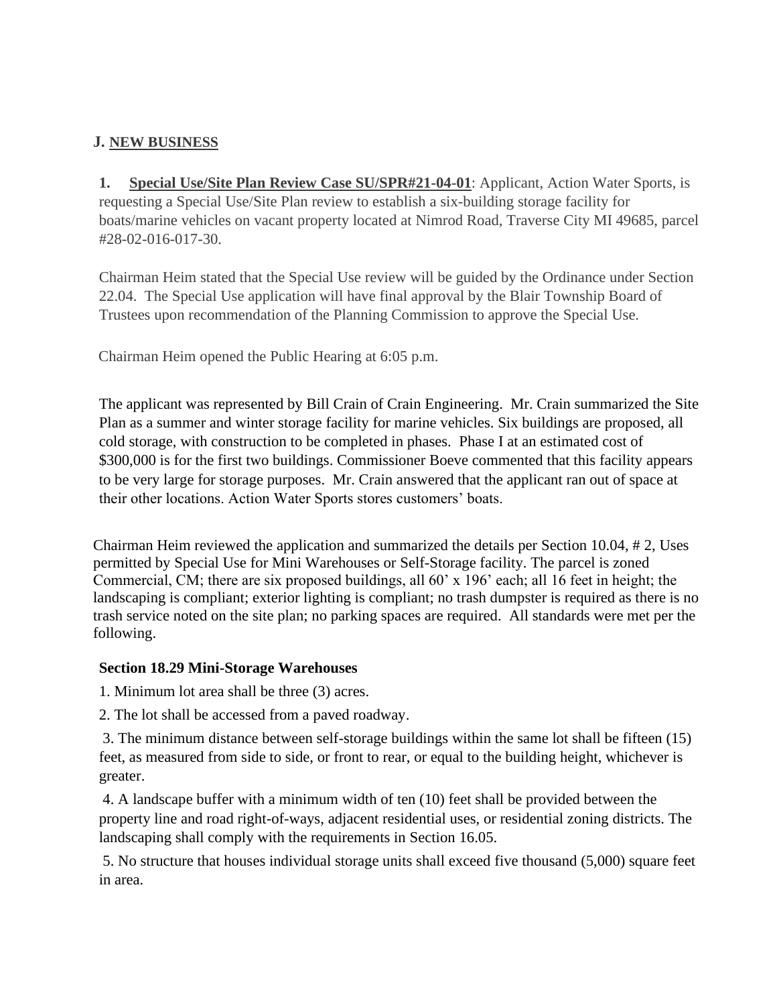## **J. NEW BUSINESS**

**1. Special Use/Site Plan Review Case SU/SPR#21-04-01**: Applicant, Action Water Sports, is requesting a Special Use/Site Plan review to establish a six-building storage facility for boats/marine vehicles on vacant property located at Nimrod Road, Traverse City MI 49685, parcel #28-02-016-017-30.

Chairman Heim stated that the Special Use review will be guided by the Ordinance under Section 22.04. The Special Use application will have final approval by the Blair Township Board of Trustees upon recommendation of the Planning Commission to approve the Special Use.

Chairman Heim opened the Public Hearing at 6:05 p.m.

The applicant was represented by Bill Crain of Crain Engineering. Mr. Crain summarized the Site Plan as a summer and winter storage facility for marine vehicles. Six buildings are proposed, all cold storage, with construction to be completed in phases. Phase I at an estimated cost of \$300,000 is for the first two buildings. Commissioner Boeve commented that this facility appears to be very large for storage purposes. Mr. Crain answered that the applicant ran out of space at their other locations. Action Water Sports stores customers' boats.

Chairman Heim reviewed the application and summarized the details per Section 10.04, # 2, Uses permitted by Special Use for Mini Warehouses or Self-Storage facility. The parcel is zoned Commercial, CM; there are six proposed buildings, all 60' x 196' each; all 16 feet in height; the landscaping is compliant; exterior lighting is compliant; no trash dumpster is required as there is no trash service noted on the site plan; no parking spaces are required. All standards were met per the following.

## **Section 18.29 Mini-Storage Warehouses**

1. Minimum lot area shall be three (3) acres.

2. The lot shall be accessed from a paved roadway.

3. The minimum distance between self-storage buildings within the same lot shall be fifteen (15) feet, as measured from side to side, or front to rear, or equal to the building height, whichever is greater.

4. A landscape buffer with a minimum width of ten (10) feet shall be provided between the property line and road right-of-ways, adjacent residential uses, or residential zoning districts. The landscaping shall comply with the requirements in Section 16.05.

5. No structure that houses individual storage units shall exceed five thousand (5,000) square feet in area.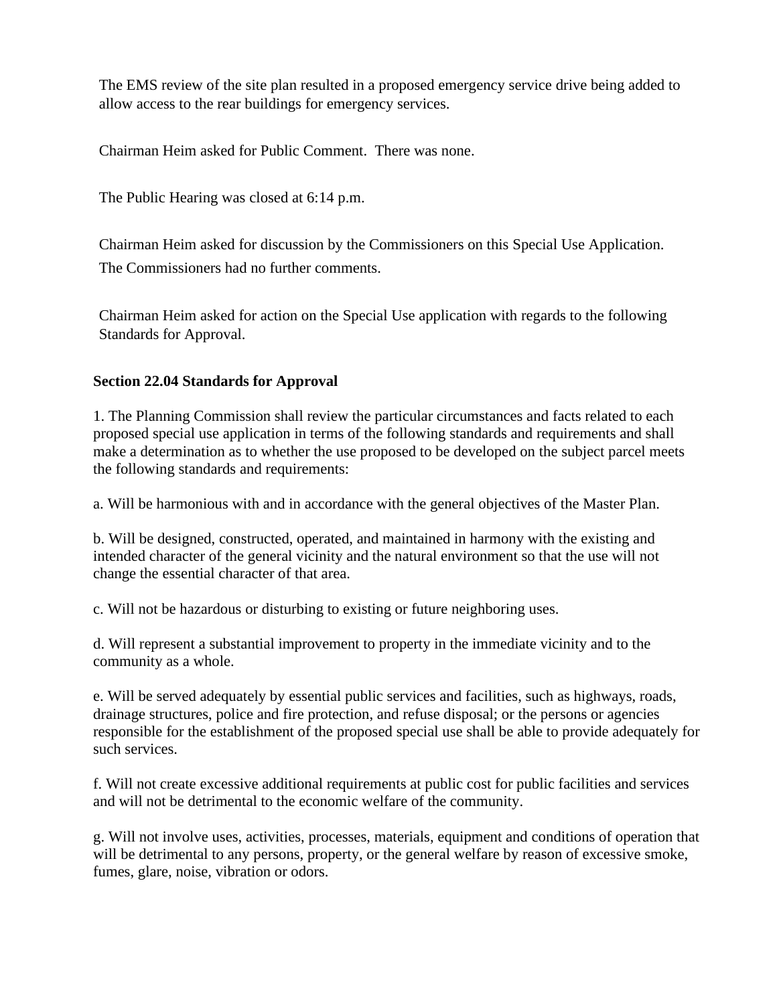The EMS review of the site plan resulted in a proposed emergency service drive being added to allow access to the rear buildings for emergency services.

Chairman Heim asked for Public Comment. There was none.

The Public Hearing was closed at 6:14 p.m.

Chairman Heim asked for discussion by the Commissioners on this Special Use Application. The Commissioners had no further comments.

Chairman Heim asked for action on the Special Use application with regards to the following Standards for Approval.

## **Section 22.04 Standards for Approval**

1. The Planning Commission shall review the particular circumstances and facts related to each proposed special use application in terms of the following standards and requirements and shall make a determination as to whether the use proposed to be developed on the subject parcel meets the following standards and requirements:

a. Will be harmonious with and in accordance with the general objectives of the Master Plan.

b. Will be designed, constructed, operated, and maintained in harmony with the existing and intended character of the general vicinity and the natural environment so that the use will not change the essential character of that area.

c. Will not be hazardous or disturbing to existing or future neighboring uses.

d. Will represent a substantial improvement to property in the immediate vicinity and to the community as a whole.

e. Will be served adequately by essential public services and facilities, such as highways, roads, drainage structures, police and fire protection, and refuse disposal; or the persons or agencies responsible for the establishment of the proposed special use shall be able to provide adequately for such services.

f. Will not create excessive additional requirements at public cost for public facilities and services and will not be detrimental to the economic welfare of the community.

g. Will not involve uses, activities, processes, materials, equipment and conditions of operation that will be detrimental to any persons, property, or the general welfare by reason of excessive smoke, fumes, glare, noise, vibration or odors.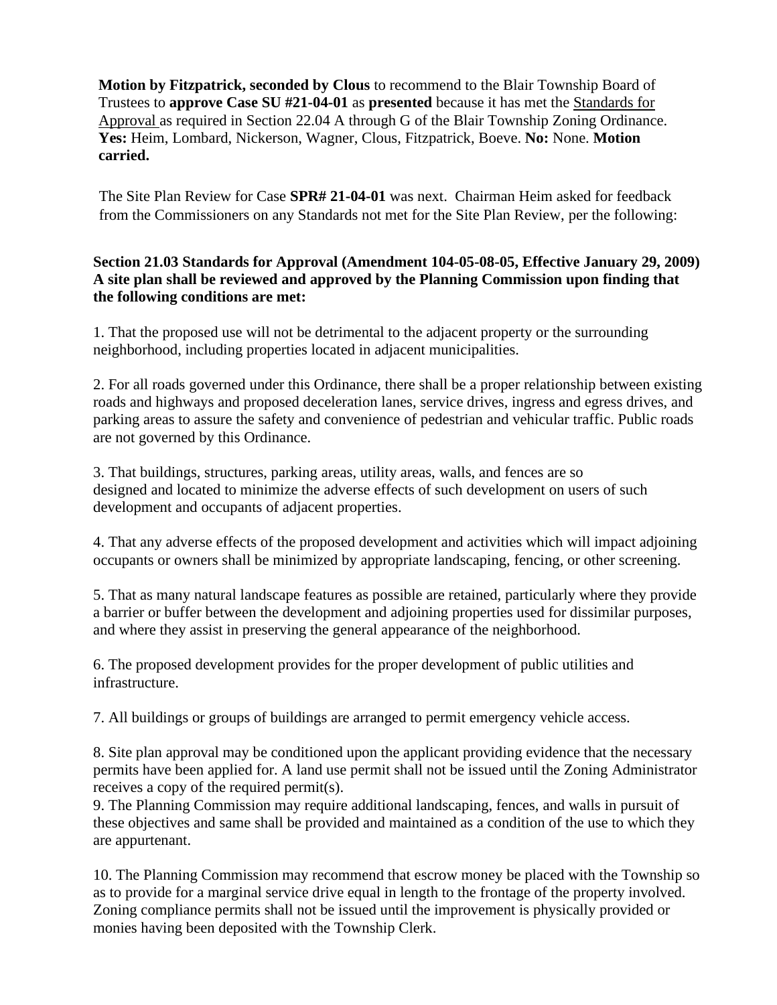**Motion by Fitzpatrick, seconded by Clous** to recommend to the Blair Township Board of Trustees to **approve Case SU #21-04-01** as **presented** because it has met the Standards for Approval as required in Section 22.04 A through G of the Blair Township Zoning Ordinance. **Yes:** Heim, Lombard, Nickerson, Wagner, Clous, Fitzpatrick, Boeve. **No:** None. **Motion carried.** 

The Site Plan Review for Case **SPR# 21-04-01** was next. Chairman Heim asked for feedback from the Commissioners on any Standards not met for the Site Plan Review, per the following:

#### **Section 21.03 Standards for Approval (Amendment 104-05-08-05, Effective January 29, 2009) A site plan shall be reviewed and approved by the Planning Commission upon finding that the following conditions are met:**

1. That the proposed use will not be detrimental to the adjacent property or the surrounding neighborhood, including properties located in adjacent municipalities.

2. For all roads governed under this Ordinance, there shall be a proper relationship between existing roads and highways and proposed deceleration lanes, service drives, ingress and egress drives, and parking areas to assure the safety and convenience of pedestrian and vehicular traffic. Public roads are not governed by this Ordinance.

3. That buildings, structures, parking areas, utility areas, walls, and fences are so designed and located to minimize the adverse effects of such development on users of such development and occupants of adjacent properties.

4. That any adverse effects of the proposed development and activities which will impact adjoining occupants or owners shall be minimized by appropriate landscaping, fencing, or other screening.

5. That as many natural landscape features as possible are retained, particularly where they provide a barrier or buffer between the development and adjoining properties used for dissimilar purposes, and where they assist in preserving the general appearance of the neighborhood.

6. The proposed development provides for the proper development of public utilities and infrastructure.

7. All buildings or groups of buildings are arranged to permit emergency vehicle access.

8. Site plan approval may be conditioned upon the applicant providing evidence that the necessary permits have been applied for. A land use permit shall not be issued until the Zoning Administrator receives a copy of the required permit(s).

9. The Planning Commission may require additional landscaping, fences, and walls in pursuit of these objectives and same shall be provided and maintained as a condition of the use to which they are appurtenant.

10. The Planning Commission may recommend that escrow money be placed with the Township so as to provide for a marginal service drive equal in length to the frontage of the property involved. Zoning compliance permits shall not be issued until the improvement is physically provided or monies having been deposited with the Township Clerk.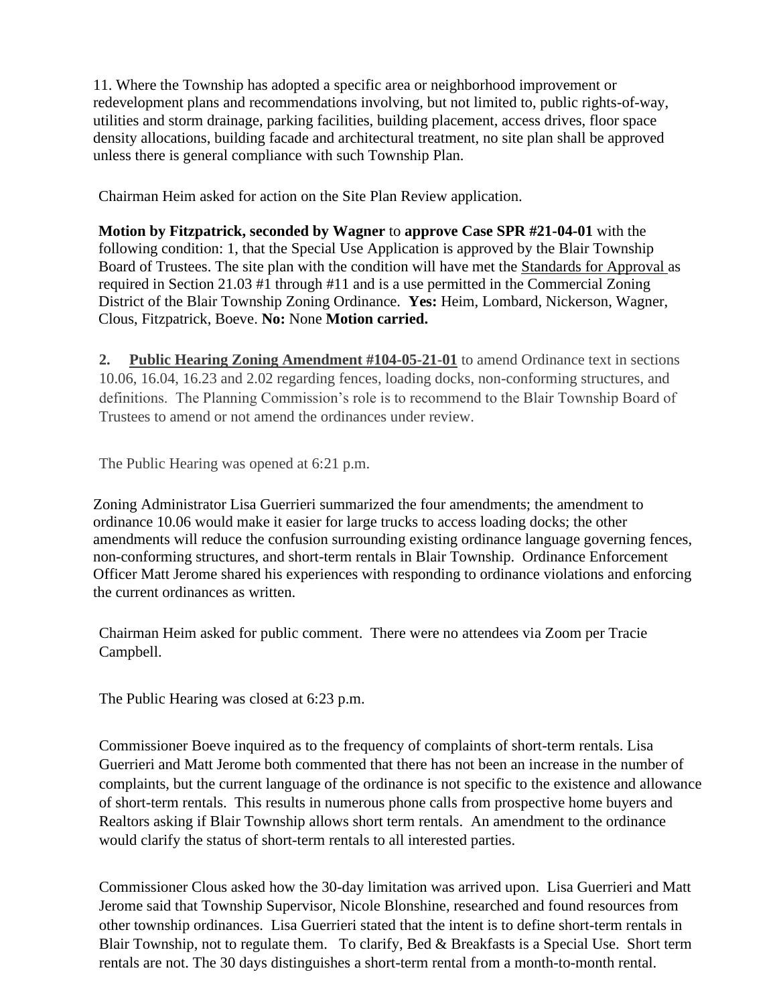11. Where the Township has adopted a specific area or neighborhood improvement or redevelopment plans and recommendations involving, but not limited to, public rights-of-way, utilities and storm drainage, parking facilities, building placement, access drives, floor space density allocations, building facade and architectural treatment, no site plan shall be approved unless there is general compliance with such Township Plan.

Chairman Heim asked for action on the Site Plan Review application.

**Motion by Fitzpatrick, seconded by Wagner** to **approve Case SPR #21-04-01** with the following condition: 1, that the Special Use Application is approved by the Blair Township Board of Trustees. The site plan with the condition will have met the Standards for Approval as required in Section 21.03 #1 through #11 and is a use permitted in the Commercial Zoning District of the Blair Township Zoning Ordinance. **Yes:** Heim, Lombard, Nickerson, Wagner, Clous, Fitzpatrick, Boeve. **No:** None **Motion carried.** 

**2. Public Hearing Zoning Amendment #104-05-21-01** to amend Ordinance text in sections 10.06, 16.04, 16.23 and 2.02 regarding fences, loading docks, non-conforming structures, and definitions. The Planning Commission's role is to recommend to the Blair Township Board of Trustees to amend or not amend the ordinances under review.

The Public Hearing was opened at 6:21 p.m.

Zoning Administrator Lisa Guerrieri summarized the four amendments; the amendment to ordinance 10.06 would make it easier for large trucks to access loading docks; the other amendments will reduce the confusion surrounding existing ordinance language governing fences, non-conforming structures, and short-term rentals in Blair Township. Ordinance Enforcement Officer Matt Jerome shared his experiences with responding to ordinance violations and enforcing the current ordinances as written.

Chairman Heim asked for public comment. There were no attendees via Zoom per Tracie Campbell.

The Public Hearing was closed at 6:23 p.m.

Commissioner Boeve inquired as to the frequency of complaints of short-term rentals. Lisa Guerrieri and Matt Jerome both commented that there has not been an increase in the number of complaints, but the current language of the ordinance is not specific to the existence and allowance of short-term rentals. This results in numerous phone calls from prospective home buyers and Realtors asking if Blair Township allows short term rentals. An amendment to the ordinance would clarify the status of short-term rentals to all interested parties.

Commissioner Clous asked how the 30-day limitation was arrived upon. Lisa Guerrieri and Matt Jerome said that Township Supervisor, Nicole Blonshine, researched and found resources from other township ordinances. Lisa Guerrieri stated that the intent is to define short-term rentals in Blair Township, not to regulate them. To clarify, Bed & Breakfasts is a Special Use. Short term rentals are not. The 30 days distinguishes a short-term rental from a month-to-month rental.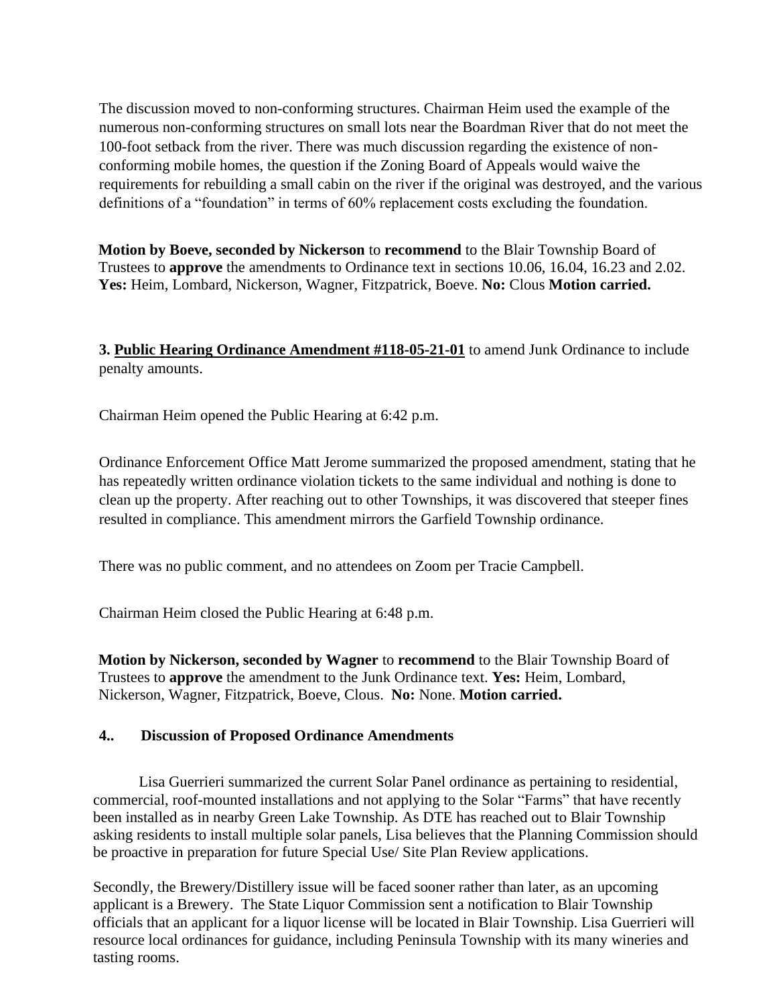The discussion moved to non-conforming structures. Chairman Heim used the example of the numerous non-conforming structures on small lots near the Boardman River that do not meet the 100-foot setback from the river. There was much discussion regarding the existence of nonconforming mobile homes, the question if the Zoning Board of Appeals would waive the requirements for rebuilding a small cabin on the river if the original was destroyed, and the various definitions of a "foundation" in terms of 60% replacement costs excluding the foundation.

**Motion by Boeve, seconded by Nickerson** to **recommend** to the Blair Township Board of Trustees to **approve** the amendments to Ordinance text in sections 10.06, 16.04, 16.23 and 2.02. **Yes:** Heim, Lombard, Nickerson, Wagner, Fitzpatrick, Boeve. **No:** Clous **Motion carried.** 

**3. Public Hearing Ordinance Amendment #118-05-21-01** to amend Junk Ordinance to include penalty amounts.

Chairman Heim opened the Public Hearing at 6:42 p.m.

Ordinance Enforcement Office Matt Jerome summarized the proposed amendment, stating that he has repeatedly written ordinance violation tickets to the same individual and nothing is done to clean up the property. After reaching out to other Townships, it was discovered that steeper fines resulted in compliance. This amendment mirrors the Garfield Township ordinance.

There was no public comment, and no attendees on Zoom per Tracie Campbell.

Chairman Heim closed the Public Hearing at 6:48 p.m.

**Motion by Nickerson, seconded by Wagner** to **recommend** to the Blair Township Board of Trustees to **approve** the amendment to the Junk Ordinance text. **Yes:** Heim, Lombard, Nickerson, Wagner, Fitzpatrick, Boeve, Clous. **No:** None. **Motion carried.** 

#### **4.. Discussion of Proposed Ordinance Amendments**

Lisa Guerrieri summarized the current Solar Panel ordinance as pertaining to residential, commercial, roof-mounted installations and not applying to the Solar "Farms" that have recently been installed as in nearby Green Lake Township. As DTE has reached out to Blair Township asking residents to install multiple solar panels, Lisa believes that the Planning Commission should be proactive in preparation for future Special Use/ Site Plan Review applications.

Secondly, the Brewery/Distillery issue will be faced sooner rather than later, as an upcoming applicant is a Brewery. The State Liquor Commission sent a notification to Blair Township officials that an applicant for a liquor license will be located in Blair Township. Lisa Guerrieri will resource local ordinances for guidance, including Peninsula Township with its many wineries and tasting rooms.